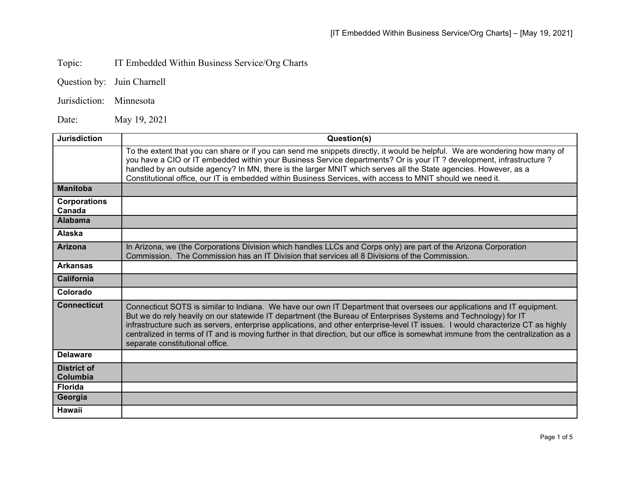## Topic: IT Embedded Within Business Service/Org Charts

|  | Question by: Juin Charnell |
|--|----------------------------|
|--|----------------------------|

Jurisdiction: Minnesota

Date: May 19, 2021

| <b>Jurisdiction</b>            | Question(s)                                                                                                                                                                                                                                                                                                                                                                                                                                                                                                                                            |
|--------------------------------|--------------------------------------------------------------------------------------------------------------------------------------------------------------------------------------------------------------------------------------------------------------------------------------------------------------------------------------------------------------------------------------------------------------------------------------------------------------------------------------------------------------------------------------------------------|
|                                | To the extent that you can share or if you can send me snippets directly, it would be helpful. We are wondering how many of<br>you have a CIO or IT embedded within your Business Service departments? Or is your IT ? development, infrastructure ?<br>handled by an outside agency? In MN, there is the larger MNIT which serves all the State agencies. However, as a<br>Constitutional office, our IT is embedded within Business Services, with access to MNIT should we need it.                                                                 |
| <b>Manitoba</b>                |                                                                                                                                                                                                                                                                                                                                                                                                                                                                                                                                                        |
| <b>Corporations</b><br>Canada  |                                                                                                                                                                                                                                                                                                                                                                                                                                                                                                                                                        |
| <b>Alabama</b>                 |                                                                                                                                                                                                                                                                                                                                                                                                                                                                                                                                                        |
| Alaska                         |                                                                                                                                                                                                                                                                                                                                                                                                                                                                                                                                                        |
| <b>Arizona</b>                 | In Arizona, we (the Corporations Division which handles LLCs and Corps only) are part of the Arizona Corporation<br>Commission. The Commission has an IT Division that services all 8 Divisions of the Commission.                                                                                                                                                                                                                                                                                                                                     |
| <b>Arkansas</b>                |                                                                                                                                                                                                                                                                                                                                                                                                                                                                                                                                                        |
| <b>California</b>              |                                                                                                                                                                                                                                                                                                                                                                                                                                                                                                                                                        |
| Colorado                       |                                                                                                                                                                                                                                                                                                                                                                                                                                                                                                                                                        |
| <b>Connecticut</b>             | Connecticut SOTS is similar to Indiana. We have our own IT Department that oversees our applications and IT equipment.<br>But we do rely heavily on our statewide IT department (the Bureau of Enterprises Systems and Technology) for IT<br>infrastructure such as servers, enterprise applications, and other enterprise-level IT issues. I would characterize CT as highly<br>centralized in terms of IT and is moving further in that direction, but our office is somewhat immune from the centralization as a<br>separate constitutional office. |
| <b>Delaware</b>                |                                                                                                                                                                                                                                                                                                                                                                                                                                                                                                                                                        |
| <b>District of</b><br>Columbia |                                                                                                                                                                                                                                                                                                                                                                                                                                                                                                                                                        |
| <b>Florida</b>                 |                                                                                                                                                                                                                                                                                                                                                                                                                                                                                                                                                        |
| Georgia                        |                                                                                                                                                                                                                                                                                                                                                                                                                                                                                                                                                        |
| <b>Hawaii</b>                  |                                                                                                                                                                                                                                                                                                                                                                                                                                                                                                                                                        |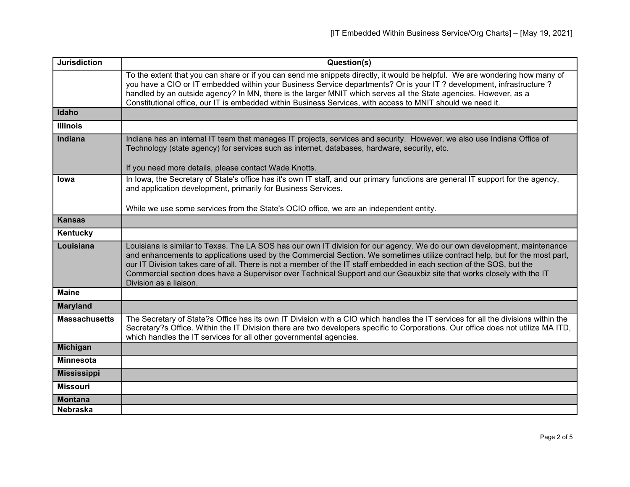| <b>Jurisdiction</b>  | Question(s)                                                                                                                                                                                                                                                                                                                                                                                                                                                                                                                         |
|----------------------|-------------------------------------------------------------------------------------------------------------------------------------------------------------------------------------------------------------------------------------------------------------------------------------------------------------------------------------------------------------------------------------------------------------------------------------------------------------------------------------------------------------------------------------|
|                      | To the extent that you can share or if you can send me snippets directly, it would be helpful. We are wondering how many of<br>you have a CIO or IT embedded within your Business Service departments? Or is your IT ? development, infrastructure ?<br>handled by an outside agency? In MN, there is the larger MNIT which serves all the State agencies. However, as a<br>Constitutional office, our IT is embedded within Business Services, with access to MNIT should we need it.                                              |
| Idaho                |                                                                                                                                                                                                                                                                                                                                                                                                                                                                                                                                     |
| <b>Illinois</b>      |                                                                                                                                                                                                                                                                                                                                                                                                                                                                                                                                     |
| <b>Indiana</b>       | Indiana has an internal IT team that manages IT projects, services and security. However, we also use Indiana Office of<br>Technology (state agency) for services such as internet, databases, hardware, security, etc.                                                                                                                                                                                                                                                                                                             |
|                      | If you need more details, please contact Wade Knotts.                                                                                                                                                                                                                                                                                                                                                                                                                                                                               |
| <b>lowa</b>          | In Iowa, the Secretary of State's office has it's own IT staff, and our primary functions are general IT support for the agency,<br>and application development, primarily for Business Services.                                                                                                                                                                                                                                                                                                                                   |
|                      | While we use some services from the State's OCIO office, we are an independent entity.                                                                                                                                                                                                                                                                                                                                                                                                                                              |
| <b>Kansas</b>        |                                                                                                                                                                                                                                                                                                                                                                                                                                                                                                                                     |
| Kentucky             |                                                                                                                                                                                                                                                                                                                                                                                                                                                                                                                                     |
| Louisiana            | Louisiana is similar to Texas. The LA SOS has our own IT division for our agency. We do our own development, maintenance<br>and enhancements to applications used by the Commercial Section. We sometimes utilize contract help, but for the most part,<br>our IT Division takes care of all. There is not a member of the IT staff embedded in each section of the SOS, but the<br>Commercial section does have a Supervisor over Technical Support and our Geauxbiz site that works closely with the IT<br>Division as a liaison. |
| <b>Maine</b>         |                                                                                                                                                                                                                                                                                                                                                                                                                                                                                                                                     |
| <b>Maryland</b>      |                                                                                                                                                                                                                                                                                                                                                                                                                                                                                                                                     |
| <b>Massachusetts</b> | The Secretary of State?s Office has its own IT Division with a CIO which handles the IT services for all the divisions within the<br>Secretary?s Office. Within the IT Division there are two developers specific to Corporations. Our office does not utilize MA ITD,<br>which handles the IT services for all other governmental agencies.                                                                                                                                                                                        |
| <b>Michigan</b>      |                                                                                                                                                                                                                                                                                                                                                                                                                                                                                                                                     |
| <b>Minnesota</b>     |                                                                                                                                                                                                                                                                                                                                                                                                                                                                                                                                     |
| <b>Mississippi</b>   |                                                                                                                                                                                                                                                                                                                                                                                                                                                                                                                                     |
| <b>Missouri</b>      |                                                                                                                                                                                                                                                                                                                                                                                                                                                                                                                                     |
| <b>Montana</b>       |                                                                                                                                                                                                                                                                                                                                                                                                                                                                                                                                     |
| <b>Nebraska</b>      |                                                                                                                                                                                                                                                                                                                                                                                                                                                                                                                                     |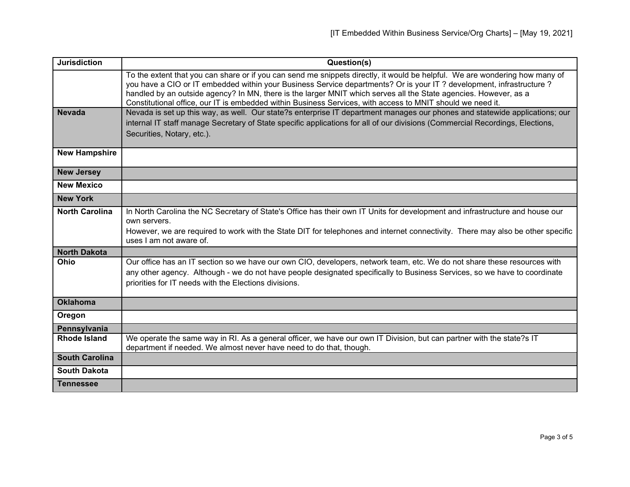| <b>Jurisdiction</b>   | Question(s)                                                                                                                                                                                                                                                                                                                                                                                                                                                                            |
|-----------------------|----------------------------------------------------------------------------------------------------------------------------------------------------------------------------------------------------------------------------------------------------------------------------------------------------------------------------------------------------------------------------------------------------------------------------------------------------------------------------------------|
|                       | To the extent that you can share or if you can send me snippets directly, it would be helpful. We are wondering how many of<br>you have a CIO or IT embedded within your Business Service departments? Or is your IT ? development, infrastructure ?<br>handled by an outside agency? In MN, there is the larger MNIT which serves all the State agencies. However, as a<br>Constitutional office, our IT is embedded within Business Services, with access to MNIT should we need it. |
| <b>Nevada</b>         | Nevada is set up this way, as well. Our state?s enterprise IT department manages our phones and statewide applications; our<br>internal IT staff manage Secretary of State specific applications for all of our divisions (Commercial Recordings, Elections,<br>Securities, Notary, etc.).                                                                                                                                                                                             |
| <b>New Hampshire</b>  |                                                                                                                                                                                                                                                                                                                                                                                                                                                                                        |
| <b>New Jersey</b>     |                                                                                                                                                                                                                                                                                                                                                                                                                                                                                        |
| <b>New Mexico</b>     |                                                                                                                                                                                                                                                                                                                                                                                                                                                                                        |
| <b>New York</b>       |                                                                                                                                                                                                                                                                                                                                                                                                                                                                                        |
| <b>North Carolina</b> | In North Carolina the NC Secretary of State's Office has their own IT Units for development and infrastructure and house our<br>own servers.<br>However, we are required to work with the State DIT for telephones and internet connectivity. There may also be other specific<br>uses I am not aware of.                                                                                                                                                                              |
| <b>North Dakota</b>   |                                                                                                                                                                                                                                                                                                                                                                                                                                                                                        |
| Ohio                  | Our office has an IT section so we have our own CIO, developers, network team, etc. We do not share these resources with<br>any other agency. Although - we do not have people designated specifically to Business Services, so we have to coordinate<br>priorities for IT needs with the Elections divisions.                                                                                                                                                                         |
| <b>Oklahoma</b>       |                                                                                                                                                                                                                                                                                                                                                                                                                                                                                        |
| Oregon                |                                                                                                                                                                                                                                                                                                                                                                                                                                                                                        |
| Pennsylvania          |                                                                                                                                                                                                                                                                                                                                                                                                                                                                                        |
| <b>Rhode Island</b>   | We operate the same way in RI. As a general officer, we have our own IT Division, but can partner with the state?s IT<br>department if needed. We almost never have need to do that, though.                                                                                                                                                                                                                                                                                           |
| <b>South Carolina</b> |                                                                                                                                                                                                                                                                                                                                                                                                                                                                                        |
| <b>South Dakota</b>   |                                                                                                                                                                                                                                                                                                                                                                                                                                                                                        |
| <b>Tennessee</b>      |                                                                                                                                                                                                                                                                                                                                                                                                                                                                                        |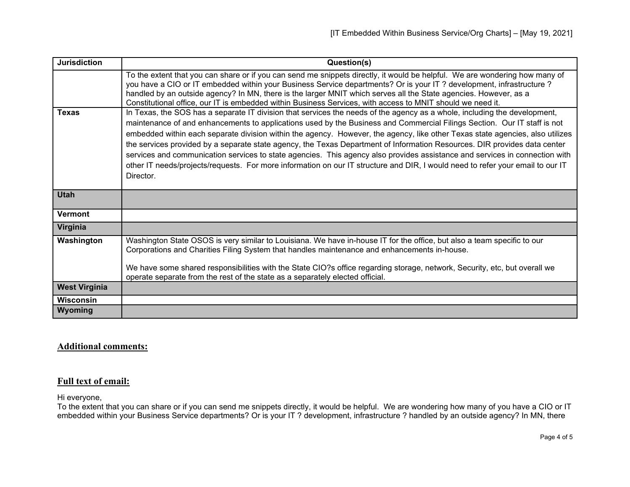| <b>Jurisdiction</b>  | Question(s)                                                                                                                                                                                                                                                                                                                                                                                                                                                                                                                                                                                                                                                                                                                                                                                       |
|----------------------|---------------------------------------------------------------------------------------------------------------------------------------------------------------------------------------------------------------------------------------------------------------------------------------------------------------------------------------------------------------------------------------------------------------------------------------------------------------------------------------------------------------------------------------------------------------------------------------------------------------------------------------------------------------------------------------------------------------------------------------------------------------------------------------------------|
|                      | To the extent that you can share or if you can send me snippets directly, it would be helpful. We are wondering how many of<br>you have a CIO or IT embedded within your Business Service departments? Or is your IT ? development, infrastructure ?<br>handled by an outside agency? In MN, there is the larger MNIT which serves all the State agencies. However, as a<br>Constitutional office, our IT is embedded within Business Services, with access to MNIT should we need it.                                                                                                                                                                                                                                                                                                            |
| <b>Texas</b>         | In Texas, the SOS has a separate IT division that services the needs of the agency as a whole, including the development,<br>maintenance of and enhancements to applications used by the Business and Commercial Filings Section. Our IT staff is not<br>embedded within each separate division within the agency. However, the agency, like other Texas state agencies, also utilizes<br>the services provided by a separate state agency, the Texas Department of Information Resources. DIR provides data center<br>services and communication services to state agencies. This agency also provides assistance and services in connection with<br>other IT needs/projects/requests. For more information on our IT structure and DIR, I would need to refer your email to our IT<br>Director. |
| <b>Utah</b>          |                                                                                                                                                                                                                                                                                                                                                                                                                                                                                                                                                                                                                                                                                                                                                                                                   |
| <b>Vermont</b>       |                                                                                                                                                                                                                                                                                                                                                                                                                                                                                                                                                                                                                                                                                                                                                                                                   |
| Virginia             |                                                                                                                                                                                                                                                                                                                                                                                                                                                                                                                                                                                                                                                                                                                                                                                                   |
| Washington           | Washington State OSOS is very similar to Louisiana. We have in-house IT for the office, but also a team specific to our<br>Corporations and Charities Filing System that handles maintenance and enhancements in-house.<br>We have some shared responsibilities with the State CIO?s office regarding storage, network, Security, etc, but overall we<br>operate separate from the rest of the state as a separately elected official.                                                                                                                                                                                                                                                                                                                                                            |
| <b>West Virginia</b> |                                                                                                                                                                                                                                                                                                                                                                                                                                                                                                                                                                                                                                                                                                                                                                                                   |
| <b>Wisconsin</b>     |                                                                                                                                                                                                                                                                                                                                                                                                                                                                                                                                                                                                                                                                                                                                                                                                   |
| Wyoming              |                                                                                                                                                                                                                                                                                                                                                                                                                                                                                                                                                                                                                                                                                                                                                                                                   |

## **Additional comments:**

## **Full text of email:**

Hi everyone,

To the extent that you can share or if you can send me snippets directly, it would be helpful. We are wondering how many of you have a CIO or IT embedded within your Business Service departments? Or is your IT ? development, infrastructure ? handled by an outside agency? In MN, there